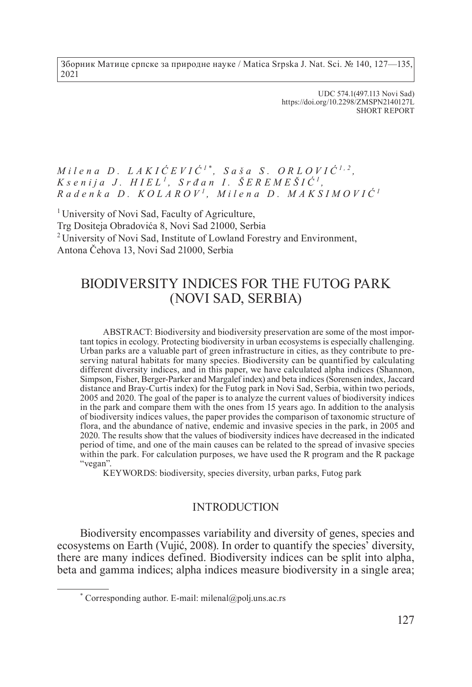Зборник Матице српске за природне науке / Matica Srpska J. Nat. Sci. № 140, 127—135, 2021

> UDC 574.1(497.113 Novi Sad) https://doi.org/10.2298/ZMSPN2140127L SHORT REPORT

# $M$ *i*  $l$ ena  $D$ .  $L$   $A$   $K$  $I$  $\dot{C}$  $E$  $VI$  $\dot{C}$ <sup> $1$ </sup> $*$ ,  $S$   $a$   $\check{s}$   $a$   $S$ .  $O$  $R$  $L$  $O$  $VI$  $\dot{C}$  $I$  $*$ <sup>2</sup>,  $K$  *s e*  $n$  *i*  $j$  *a*  $J$ *.*  $H$ *IEL*<sup> $1$ </sup>,  $S$  *r*  $d$  *a*  $n$  *I*.  $\check{S}$ *EREMEŠIĆ*<sup> $1$ </sup>. *R a d e n k a D . K O L A R O V <sup>1</sup> , Mi l e na D. MAK S I M O VIĆ <sup>1</sup>*

<sup>1</sup> University of Novi Sad, Faculty of Agriculture, Trg Dositeja Obradovića 8, Novi Sad 21000, Serbia <sup>2</sup> University of Novi Sad, Institute of Lowland Forestry and Environment, Antona Čehova 13, Novi Sad 21000, Serbia

# BIODIVERSITY INDICES FOR THE FUTOG PARK (NOVI SAD, SERBIA)

ABSTRACT: Biodiversity and biodiversity preservation are some of the most important topics in ecology. Protecting biodiversity in urban ecosystems is especially challenging. Urban parks are a valuable part of green infrastructure in cities, as they contribute to preserving natural habitats for many species. Biodiversity can be quantified by calculating different diversity indices, and in this paper, we have calculated alpha indices (Shannon, Simpson, Fisher, Berger-Parker and Margalef index) and beta indices (Sorensen index, Jaccard distance and Bray-Curtis index) for the Futog park in Novi Sad, Serbia, within two periods, 2005 and 2020. Тhe goal of the paper is to analyze the current values of biodiversity indices in the park and compare them with the ones from 15 years ago. In addition to the analysis of biodiversity indices values, the paper provides the comparison of taxonomic structure of flora, and the abundance of native, endemic and invasive species in the park, in 2005 and 2020. The results show that the values of biodiversity indices have decreased in the indicated period of time, аnd one of the main causes can be related to the spread of invasive species within the park. For calculation purposes, we have used the R program and the R package "vegan".

KEYWORDS: biodiversity, species diversity, urban parks, Futog park

# **INTRODUCTION**

Biodiversity encompasses variability and diversity of genes, species and ecosystems on Earth (Vujić, 2008). In order to quantify the species' diversity, there are many indices defined. Biodiversity indices can be split into alpha, beta and gamma indices; alpha indices measure biodiversity in a single area;

<sup>\*</sup> Corresponding author. E-mail: milenal@polj.uns.ac.rs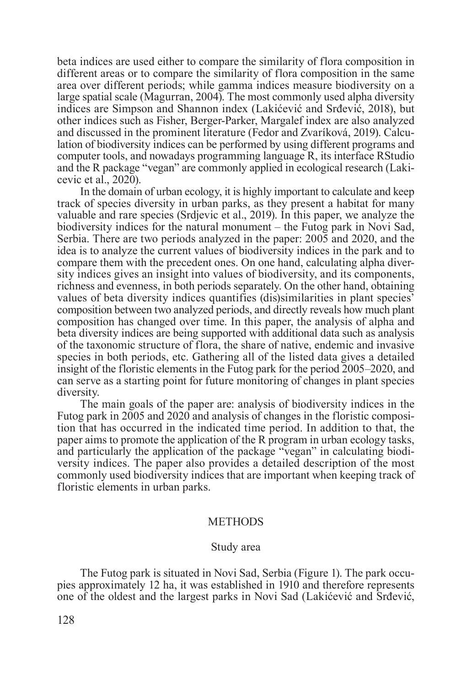beta indices are used either to compare the similarity of flora composition in different areas or to compare the similarity of flora composition in the same area over different periods; while gamma indices measure biodiversity on a large spatial scale (Magurran, 2004). The most commonly used alpha diversity indices are Simpson and Shannon index (Lakićević and Srđević, 2018), but other indices such as Fisher, Berger-Parker, Margalef index are also analyzed and discussed in the prominent literature (Fedor and Zvaríková, 2019). Calculation of biodiversity indices can be performed by using different programs and computer tools, and nowadays programming language R, its interface RStudio and the R package "vegan" are commonly applied in ecological research (Lakicevic et al., 2020).

In the domain of urban ecology, it is highly important to calculate and keep track of species diversity in urban parks, as they present a habitat for many valuable and rare species (Srdjevic et al., 2019). In this paper, we analyze the biodiversity indices for the natural monument – the Futog park in Novi Sad, Serbia. There are two periods analyzed in the paper: 2005 and 2020, and the idea is to analyze the current values of biodiversity indices in the park and to compare them with the precedent ones. On one hand, calculating alpha diversity indices gives an insight into values of biodiversity, and its components, richness and evenness, in both periods separately. On the other hand, obtaining values of beta diversity indices quantifies (dis)similarities in plant species' composition between two analyzed periods, and directly reveals how much plant composition has changed over time. In this paper, the analysis of alpha and beta diversity indices are being supported with additional data such as analysis of the taxonomic structure of flora, the share of native, endemic and invasive species in both periods, etc. Gathering all of the listed data gives a detailed insight of the floristic elements in the Futog park for the period 2005–2020, and can serve as a starting point for future monitoring of changes in plant species diversity.

The main goals of the paper are: analysis of biodiversity indices in the Futog park in 2005 and 2020 and analysis of changes in the floristic composition that has occurred in the indicated time period. In addition to that, the paper aims to promote the application of the R program in urban ecology tasks, and particularly the application of the package "vegan" in calculating biodiversity indices. The paper also provides a detailed description of the most commonly used biodiversity indices that are important when keeping track of floristic elements in urban parks.

#### **METHODS**

#### Study area

The Futog park is situated in Novi Sad, Serbia (Figure 1). The park occupies approximately 12 ha, it was established in 1910 and therefore represents one of the oldest and the largest parks in Novi Sad (Lakićević and Srđević,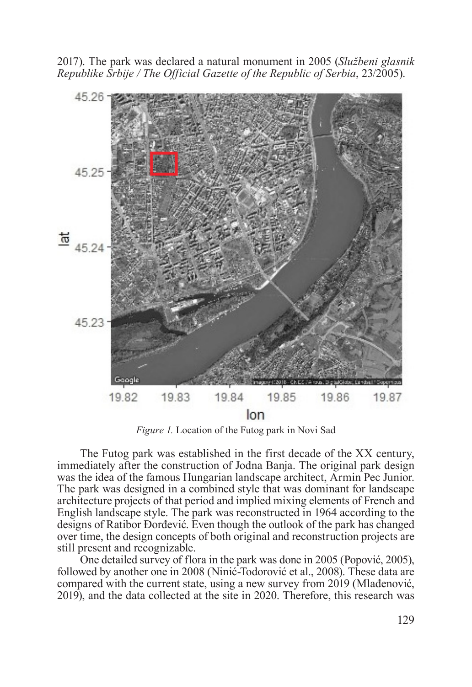2017). The park was declared a natural monument in 2005 (*Službeni glasnik Republike Srbije / The Official Gazette of the Republic of Serbia*, 23/2005).



*Figure 1.* Location of the Futog park in Novi Sad

The Futog park was established in the first decade of the XX century, immediately after the construction of Jodna Banja. The original park design was the idea of the famous Hungarian landscape architect, Armin Pec Junior. The park was designed in a combined style that was dominant for landscape architecture projects of that period and implied mixing elements of French and English landscape style. The park was reconstructed in 1964 according to the designs of Ratibor Đorđević. Even though the outlook of the park has changed over time, the design concepts of both original and reconstruction projects are still present and recognizable.

One detailed survey of flora in the park was done in 2005 (Popović, 2005), followed by another one in 2008 (Ninić-Todorović et al., 2008). These data are compared with the current state, using a new survey from 2019 (Mlađenović, 2019), and the data collected at the site in 2020. Therefore, this research was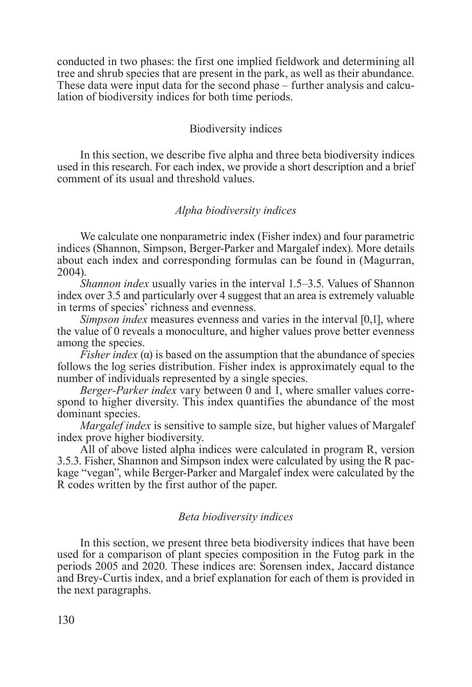conducted in two phases: the first one implied fieldwork and determining all tree and shrub species that are present in the park, as well as their abundance. These data were input data for the second phase – further analysis and calculation of biodiversity indices for both time periods.

# Biodiversity indices

In this section, we describe five alpha and three beta biodiversity indices used in this research. For each index, we provide a short description and a brief comment of its usual and threshold values.

# *Alpha biodiversity indices*

We calculate one nonparametric index (Fisher index) and four parametric indices (Shannon, Simpson, Berger-Parker and Margalef index). More details about each index and corresponding formulas can be found in (Magurran, 2004).

*Shannon index* usually varies in the interval 1.5–3.5. Values of Shannon index over 3.5 and particularly over 4 suggest that an area is extremely valuable in terms of species' richness and evenness.

*Simpson index* measures evenness and varies in the interval [0,1], where the value of 0 reveals a monoculture, and higher values prove better evenness among the species.

*Fisher index* (α) is based on the assumption that the abundance of species follows the log series distribution. Fisher index is approximately equal to the number of individuals represented by a single species.

*Berger-Parker index* vary between 0 and 1, where smaller values correspond to higher diversity. This index quantifies the abundance of the most dominant species.

*Margalef index* is sensitive to sample size, but higher values of Margalef index prove higher biodiversity.

All of above listed alpha indices were calculated in program R, version 3.5.3. Fisher, Shannon and Simpson index were calculated by using the R package "vegan", while Berger-Parker and Margalef index were calculated by the R codes written by the first author of the paper.

## *Beta biodiversity indices*

In this section, we present three beta biodiversity indices that have been used for a comparison of plant species composition in the Futog park in the periods 2005 and 2020. These indices are: Sorensen index, Jaccard distance and Brey-Curtis index, and a brief explanation for each of them is provided in the next paragraphs.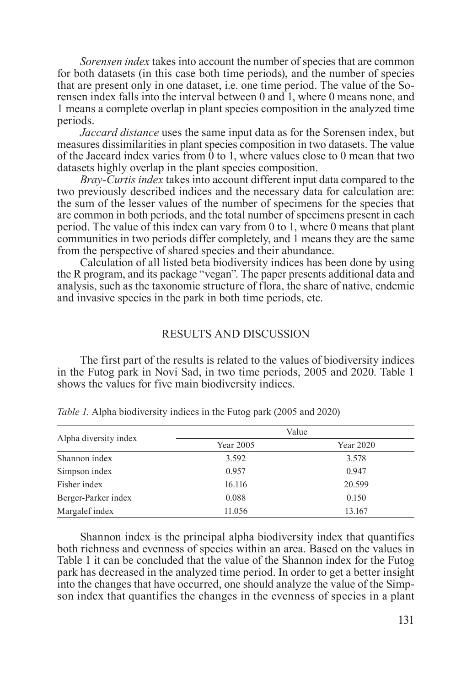*Sorensen index* takes into account the number of species that are common for both datasets (in this case both time periods), and the number of species that are present only in one dataset, i.e. one time period. The value of the Sorensen index falls into the interval between 0 and 1, where 0 means none, and 1 means a complete overlap in plant species composition in the analyzed time periods.

*Jaccard distance* uses the same input data as for the Sorensen index, but measures dissimilarities in plant species composition in two datasets. The value of the Jaccard index varies from  $\dot{0}$  to 1, where values close to 0 mean that two datasets highly overlap in the plant species composition.

*Bray-Curtis index* takes into account different input data compared to the two previously described indices and the necessary data for calculation are: the sum of the lesser values of the number of specimens for the species that are common in both periods, and the total number of specimens present in each period. The value of this index can vary from 0 to 1, where 0 means that plant communities in two periods differ completely, and 1 means they are the same from the perspective of shared species and their abundance.

Calculation of all listed beta biodiversity indices has been done by using the R program, and its package "vegan". The paper presents additional data and analysis, such as the taxonomic structure of flora, the share of native, endemic and invasive species in the park in both time periods, etc.

### RESULTS AND DISCUSSION

The first part of the results is related to the values of biodiversity indices in the Futog park in Novi Sad, in two time periods, 2005 and 2020. Table 1 shows the values for five main biodiversity indices.

| Alpha diversity index |           | Value     |
|-----------------------|-----------|-----------|
|                       | Year 2005 | Year 2020 |
| Shannon index         | 3.592     | 3.578     |
| Simpson index         | 0.957     | 0.947     |
| Fisher index          | 16.116    | 20.599    |
| Berger-Parker index   | 0.088     | 0.150     |
| Margalef index        | 11.056    | 13.167    |

*Table 1.* Alpha biodiversity indices in the Futog park (2005 and 2020)

Shannon index is the principal alpha biodiversity index that quantifies both richness and evenness of species within an area. Based on the values in Table 1 it can be concluded that the value of the Shannon index for the Futog park has decreased in the analyzed time period. In order to get a better insight into the changes that have occurred, one should analyze the value of the Simpson index that quantifies the changes in the evenness of species in a plant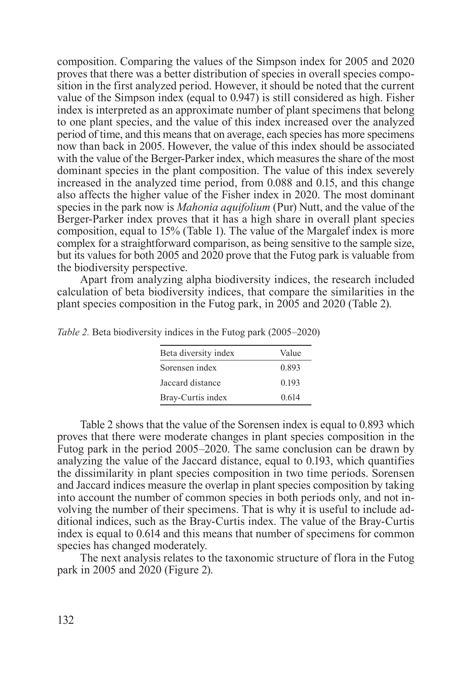composition. Comparing the values of the Simpson index for 2005 and 2020 proves that there was a better distribution of species in overall species composition in the first analyzed period. However, it should be noted that the current value of the Simpson index (equal to 0.947) is still considered as high. Fisher index is interpreted as an approximate number of plant specimens that belong to one plant species, and the value of this index increased over the analyzed period of time, and this means that on average, each species has more specimens now than back in 2005. However, the value of this index should be associated with the value of the Berger-Parker index, which measures the share of the most dominant species in the plant composition. The value of this index severely increased in the analyzed time period, from 0.088 and 0.15, and this change also affects the higher value of the Fisher index in 2020. The most dominant species in the park now is *Mahonia aquifolium* (Pur) Nutt, and the value of the Berger-Parker index proves that it has a high share in overall plant species composition, equal to 15% (Table 1). The value of the Margalef index is more complex for a straightforward comparison, as being sensitive to the sample size, but its values for both 2005 and 2020 prove that the Futog park is valuable from the biodiversity perspective.

Apart from analyzing alpha biodiversity indices, the research included calculation of beta biodiversity indices, that compare the similarities in the plant species composition in the Futog park, in 2005 and 2020 (Table 2).

| Beta diversity index | Value |
|----------------------|-------|
| Sorensen index       | 0.893 |
| Jaccard distance     | 0.193 |
| Bray-Curtis index    | 0.614 |

*Table 2.* Beta biodiversity indices in the Futog park (2005–2020)

Table 2 shows that the value of the Sorensen index is equal to 0.893 which proves that there were moderate changes in plant species composition in the Futog park in the period 2005–2020. The same conclusion can be drawn by analyzing the value of the Jaccard distance, equal to 0.193, which quantifies the dissimilarity in plant species composition in two time periods. Sorensen and Jaccard indices measure the overlap in plant species composition by taking into account the number of common species in both periods only, and not involving the number of their specimens. That is why it is useful to include additional indices, such as the Bray-Curtis index. The value of the Bray-Curtis index is equal to 0.614 and this means that number of specimens for common species has changed moderately.

The next analysis relates to the taxonomic structure of flora in the Futog park in 2005 and 2020 (Figure 2).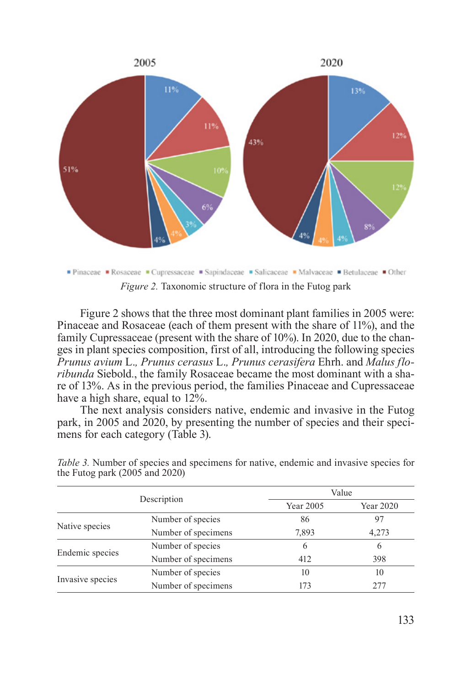

*Figure 2.* Taxonomic structure of flora in the Futog park

Figure 2 shows that the three most dominant plant families in 2005 were: Pinaceae and Rosaceae (each of them present with the share of 11%), and the family Cupressaceae (present with the share of 10%). In 2020, due to the changes in plant species composition, first of all, introducing the following species *Prunus avium* L.*, Prunus cerasus* L.*, Prunus cerasifera* Ehrh. and *Malus floribunda* Siebold*.*, the family Rosaceae became the most dominant with a share of 13%. As in the previous period, the families Pinaceae and Cupressaceae have a high share, equal to  $12\%$ .

The next analysis considers native, endemic and invasive in the Futog park, in 2005 and 2020, by presenting the number of species and their specimens for each category (Table 3).

| Description      |                     | Value     |           |
|------------------|---------------------|-----------|-----------|
|                  |                     | Year 2005 | Year 2020 |
| Native species   | Number of species   | 86        | 97        |
|                  | Number of specimens | 7,893     | 4,273     |
| Endemic species  | Number of species   | 6         | 6         |
|                  | Number of specimens | 412       | 398       |
| Invasive species | Number of species   | 10        | 10        |
|                  | Number of specimens | 173       | 2.77      |

*Table 3.* Number of species and specimens for native, endemic and invasive species for the Futog park (2005 and 2020)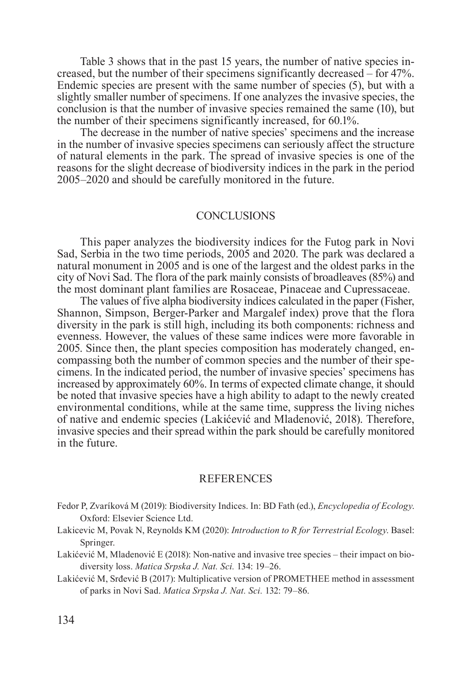Table 3 shows that in the past 15 years, the number of native species increased, but the number of their specimens significantly decreased – for 47%. Endemic species are present with the same number of species (5), but with a slightly smaller number of specimens. If one analyzes the invasive species, the conclusion is that the number of invasive species remained the same (10), but the number of their specimens significantly increased, for 60.1%.

The decrease in the number of native species' specimens and the increase in the number of invasive species specimens can seriously affect the structure of natural elements in the park. The spread of invasive species is one of the reasons for the slight decrease of biodiversity indices in the park in the period 2005–2020 and should be carefully monitored in the future.

## **CONCLUSIONS**

This paper analyzes the biodiversity indices for the Futog park in Novi Sad, Serbia in the two time periods, 2005 and 2020. The park was declared a natural monument in 2005 and is one of the largest and the oldest parks in the city of Novi Sad. The flora of the park mainly consists of broadleaves (85%) and the most dominant plant families are Rosaceae, Pinaceae and Cupressaceae.

The values of five alpha biodiversity indices calculated in the paper (Fisher, Shannon, Simpson, Berger-Parker and Margalef index) prove that the flora diversity in the park is still high, including its both components: richness and evenness. However, the values of these same indices were more favorable in 2005. Since then, the plant species composition has moderately changed, encompassing both the number of common species and the number of their specimens. In the indicated period, the number of invasive species' specimens has increased by approximately 60%. In terms of expected climate change, it should be noted that invasive species have a high ability to adapt to the newly created environmental conditions, while at the same time, suppress the living niches of native and endemic species (Lakićević and Mladenović, 2018). Therefore, invasive species and their spread within the park should be carefully monitored in the future.

#### REFERENCES

- Fedor P, Zvaríková M (2019): Biodiversity Indices. In: BD Fath (ed.), *Encyclopedia of Ecology*. Oxford: Elsevier Science Ltd.
- Lakicevic M, Povak N, Reynolds KM (2020): *Introduction to R for Terrestrial Ecology*. Basel: Springer.

Lakićević M, Mladenović E (2018): Non-native and invasive tree species – their impact on biodiversity loss. *Matica Srpska J. Nat. Sci.* 134: 19–26.

Lakićević M, Srđević B (2017): Multiplicative version of PROMETHEE method in assessment of parks in Novi Sad. *Matica Srpska J. Nat. Sci.* 132: 79–86.